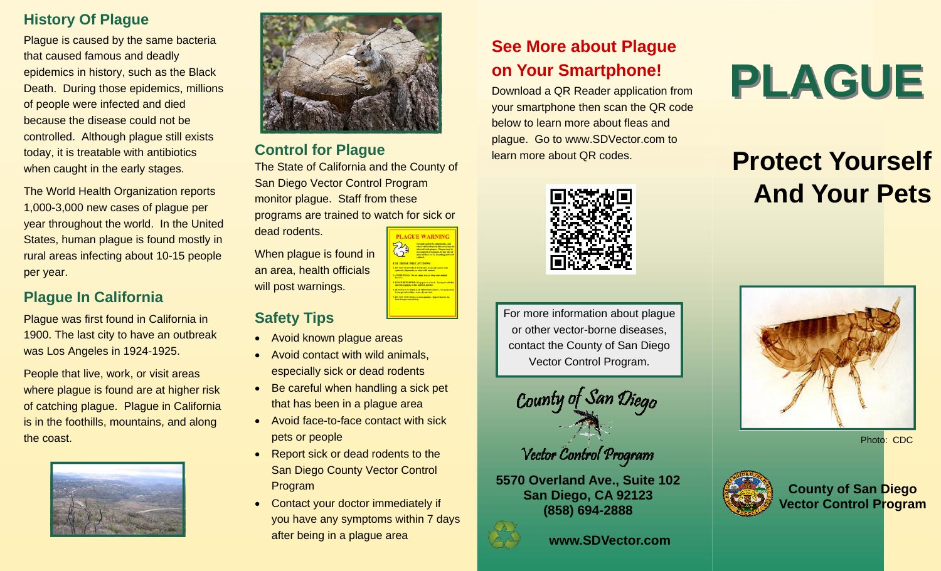### **History Of Plague**

Plague is caused by the same bacteria that caused famous and deadly epidemics in history, such as the Black Death. During those epidemics, millions of people were infected and died because the disease could not be controlled. Although plague still exists today, it is treatable with antibiotics when caught in the early stages.

The World Health Organization reports 1,000-3,000 new cases of plague per year throughout the world. In the United States, human plague is found mostly in rural areas infecting about 10-15 people per year.

### **Plague In California**

Plague was first found in California in 1900. The last city to have an outbreak was Los Angeles in 1924-1925.

People that live, work, or visit areas where plague is found are at higher risk of catching plague. Plague in California is in the foothills, mountains, and along the coast.





### **Control for Plague**

The State of California and the County of San Diego Vector Control Program monitor plague. Staff from these programs are trained to watch for sick or dead rodents.

When plague is found in an area, health officials will post warnings.

### **Safety Tips**

- Avoid known plague areas
- Avoid contact with wild animals, especially sick or dead rodents
- $\bullet$  Be careful when handling a sick pet that has been in a plague area
- Avoid face-to-face contact with sick pets or people
- Report sick or dead rodents to the San Diego County Vector Control Program
- Contact your doctor immediately if you have any symptoms within 7 days after being in a plague area

### **See More about Plague on Your Smartphone!**

Download a QR Reader application from your smartphone then scan the QR code below to learn more about fleas and plague. Go to www.SDVector.com to learn more about QR codes.



For more information about plague or other vector-borne diseases, contact the County of San Diego Vector Control Program.



**5570 Overland Ave., Suite 102 San Diego, CA 92123 (858) 694-2888** 



### **www.SDVector.com**

# **PLAGUE**

### **Protect Yourself And Your Pets**



Photo: CDC



**County of San Diego Vector Control Program**